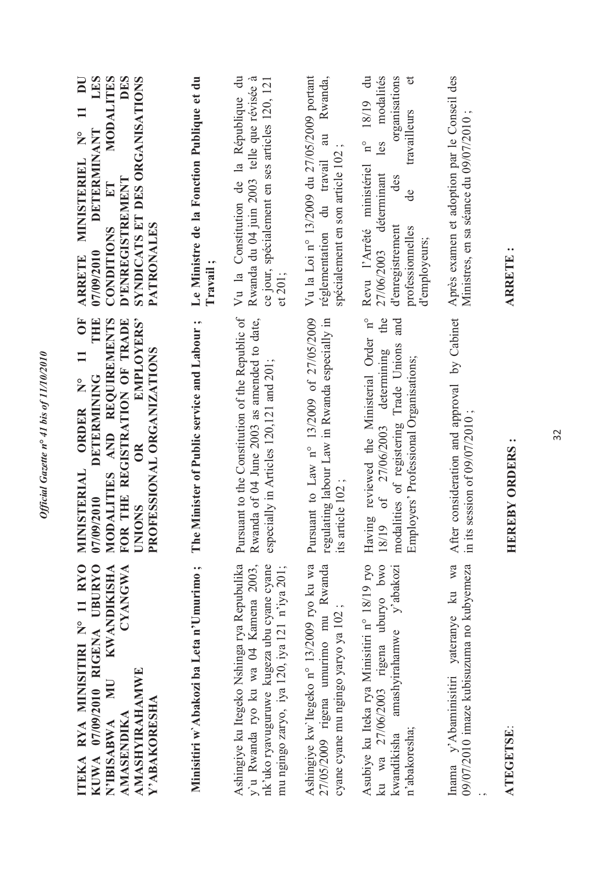| ITEKA RYA MINISITIRI Nº 11 RYO<br>KUWA 07/09/2010 RIGENA UBURYO<br><b>KWANDIKISHA</b><br>CYANGWA<br><b>AMASHYIRAHAMWE</b><br><b>NIN</b><br>Y'ABAKORESHA<br>AMASENDIKA<br>N'IBISABWA | OF<br>AND REQUIREMENTS<br>THE<br>FOR THE REGISTRATION OF TRADE<br>EMPLOYERS'<br>PROFESSIONAL ORGANIZATIONS<br>$\Xi$<br><b>DETERMINING</b><br>ORDER N°<br><b>INISTERIAL</b><br>MODALITIES<br>07/09/2010<br><b>UNIONS</b><br>Ę | LES<br><b>DES</b><br>MODALITES<br>SYNDICATS ET DES ORGANISATIONS<br>$\overline{\mathbf{D}}$<br>MINISTERIEL N° 11<br>DETERMINANT<br><b>D'ENREGISTREMENT</b><br>$E$ T<br>PATRONALES<br>CONDITIONS<br>07/09/2010<br><b>ARRETE</b>       |
|-------------------------------------------------------------------------------------------------------------------------------------------------------------------------------------|------------------------------------------------------------------------------------------------------------------------------------------------------------------------------------------------------------------------------|--------------------------------------------------------------------------------------------------------------------------------------------------------------------------------------------------------------------------------------|
| Minisitiri w'Abakozi ba Leta n'Umurimo;                                                                                                                                             | The Minister of Public service and Labour;                                                                                                                                                                                   | Le Ministre de la Fonction Publique et du<br>Travail;                                                                                                                                                                                |
| Ashingiye ku Itegeko Nshinga rya Repubulika<br>y'u Rwanda ryo ku wa 04 Kamena 2003,<br>nk'uko ryavuguruwe kugeza ubu cyane cyane<br>mu ngingo zaryo, iya 120, iya 121 n'iya 201;    | Pursuant to the Constitution of the Republic of<br>Rwanda of 04 June 2003 as amended to date,<br>especially in Articles 120,121 and 201;                                                                                     | Vu la Constitution de la République du<br>Rwanda du 04 juin 2003 telle que révisée à<br>ce jour, spécialement en ses articles 120, 121<br>et 201;                                                                                    |
| Ashingiye kw'ltegeko n° 13/2009 ryo ku wa<br>27/05/2009 rigena umurimo mu Rwanda<br>cyane cyane mu ngingo yaryo ya 102;                                                             | Pursuant to Law n° 13/2009 of 27/05/2009<br>regulating labour Law in Rwanda especially in<br>its article 102;                                                                                                                | Vu la Loi nº 13/2009 du 27/05/2009 portant<br>Rwanda,<br>au<br>spécialement en son article 102;<br>réglementation du travail                                                                                                         |
| Asubiye ku Iteka rya Minisitiri n° 18/19 ryo<br>ku wa 27/06/2003 rigena uburyo bwo<br>amashyirahamwe y'abakozi<br>n'abakoresha;<br>kwandikisha                                      | Having reviewed the Ministerial Order n°<br>the<br>and<br>modalities of registering Trade Unions<br>18/19 of 27/06/2003 determining<br>Employers' Professional Organisations;                                                | $\mathfrak{b}$<br>organisations<br>18/19 du<br>modalités<br>travailleurs<br>$\mathbf{n}^{\circ}$<br>les<br>Revu l'Arrêté ministériel<br>27/06/2003 déterminant<br>des<br>de<br>d'enregistrement<br>professionnelles<br>d'employeurs; |
| Inama y'Abaminisitiri yateranye ku wa After consideration and approval by Cabinet<br>09/07/2010 imaze kubisuzuma no kubyemeza                                                       | in its session of $09/07/2010$ ;                                                                                                                                                                                             | Après examen et adoption par le Conseil des<br>Ministres, en sa séance du 09/07/2010;                                                                                                                                                |

Official Gazette nº 41 bis of 11/10/2010

### ATEGETSE: **ATEGETSE**:

## HEREBY ORDERS: **HEREBY ORDERS :**

#### ARRETE: **ARRETE :**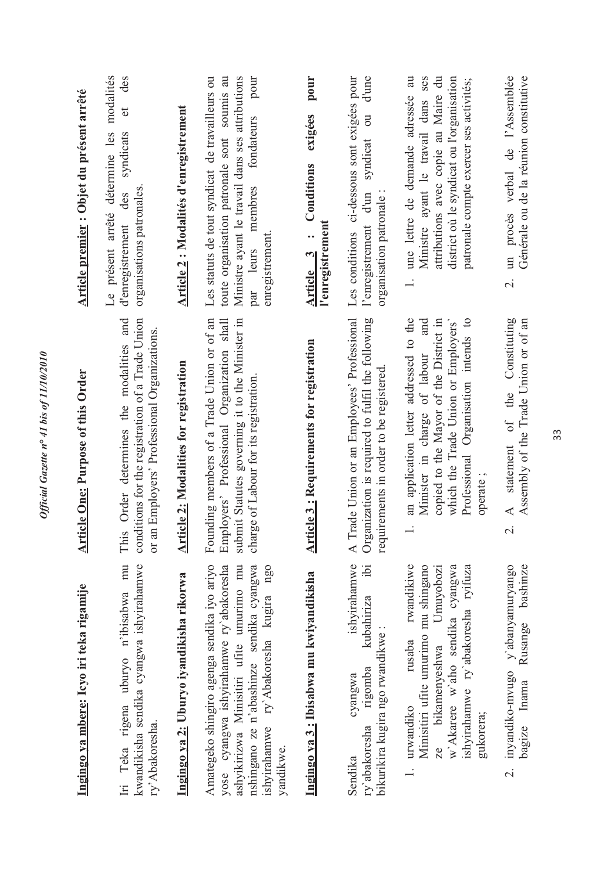| Article premier : Objet du présent arrêté | modalités<br>des<br>đ<br>Le présent arrêté détermine les<br>syndicats<br>organisations patronales<br>des<br>d'enregistrement                 | Article 2 : Modalités d'enregistrement        | Les statuts de tout syndicat de travailleurs ou<br>toute organisation patronale sont soumis au<br>Ministre ayant le travail dans ses attributions<br>pour<br>fondateurs<br>membres<br>enregistrement<br>par leurs                    | pour<br>exigées<br>Conditions<br>l'enregistrement<br>$\ddot{\cdot}$<br><b>Article</b> 3 | Les conditions ci-dessous sont exigées pour<br>d'une<br>$\overline{\mathrm{O}}$<br>syndicat<br>organisation patronale:<br>l'enregistrement d'un | attributions avec copie au Maire du<br>une lettre de demande adressée au<br>ses<br>district où le syndicat ou l'organisation<br>patronale compte exercer ses activités;<br>Ministre ayant le travail dans<br>$\div$<br>and     | un procès verbal de l'Assemblée<br>Générale ou de la réunion constitutive<br>$\overline{\mathcal{N}}$                            |
|-------------------------------------------|----------------------------------------------------------------------------------------------------------------------------------------------|-----------------------------------------------|--------------------------------------------------------------------------------------------------------------------------------------------------------------------------------------------------------------------------------------|-----------------------------------------------------------------------------------------|-------------------------------------------------------------------------------------------------------------------------------------------------|--------------------------------------------------------------------------------------------------------------------------------------------------------------------------------------------------------------------------------|----------------------------------------------------------------------------------------------------------------------------------|
| <b>Article One: Purpose of this Order</b> | This Order determines the modalities and<br>conditions for the registration of a Trade Union<br>or an Employers' Professional Organizations. | <b>Article 2: Modalities for registration</b> | submit Statutes governing it to the Minister in<br>Founding members of a Trade Union or of an<br>Employers' Professional Organization shall<br>charge of Labour for its registration.                                                | <b>Article 3: Requirements for registration</b>                                         | A Trade Union or an Employees' Professional<br>Organization is required to fulfil the following<br>requirements in order to be registered       | an application letter addressed to the<br>Professional Organisation intends to<br>copied to the Mayor of the District in<br>which the Trade Union or Employers'<br>Minister in charge of labour<br>operate;                    | Constituting<br>Assembly of the Trade Union or of an<br>the<br>$\sigma$ f<br>statement<br>$\blacktriangleleft$<br>$\overline{c}$ |
| Ingingo ya mbere: Icyo iri teka rigamije  | Iri Teka rigena uburyo n'ibisabwa mu<br>kwandikisha sendika cyangwa ishyirahamwe<br>ry' Abakoresha.                                          | Ingingo ya 2: Uburyo iyandikisha rikorwa      | Amategeko shingiro agenga sendika iyo ariyo<br>yose cyangwa ishyirahamwe ry'abakoresha<br>ashyikirizwa Minisitiri ufite umurimo mu<br>nshingano ze n'abashinze sendika cyangwa<br>ishyirahamwe ry'Abakoresha kugira ngo<br>yandikwe. | Ingingo ya 3: Ibisabwa mu kwiyandikisha                                                 | ishyirahamwe<br>$\ddot{p}$<br>kubahiriza<br>bikurikira kugira ngo rwandikwe :<br>rigomba<br>cyangwa<br>ry'abakoresha<br>Sendika                 | rwandikiwe<br>w'Akarere w'aho sendika cyangwa<br>Minisitiri ufite umurimo mu shingano<br>ishyirahamwe ry`abakoresha ryifuza<br>Umuyobozi<br>rusaba<br>bikamenyeshwa<br>urwandiko<br>gukorera;<br>R<br>$\overline{\phantom{a}}$ | y'abanyamuryango<br>bashinze<br>Rusange<br>2. inyandiko-mvugo<br>bagize Inama                                                    |

Official Gazette nº 41 bis of 11/10/2010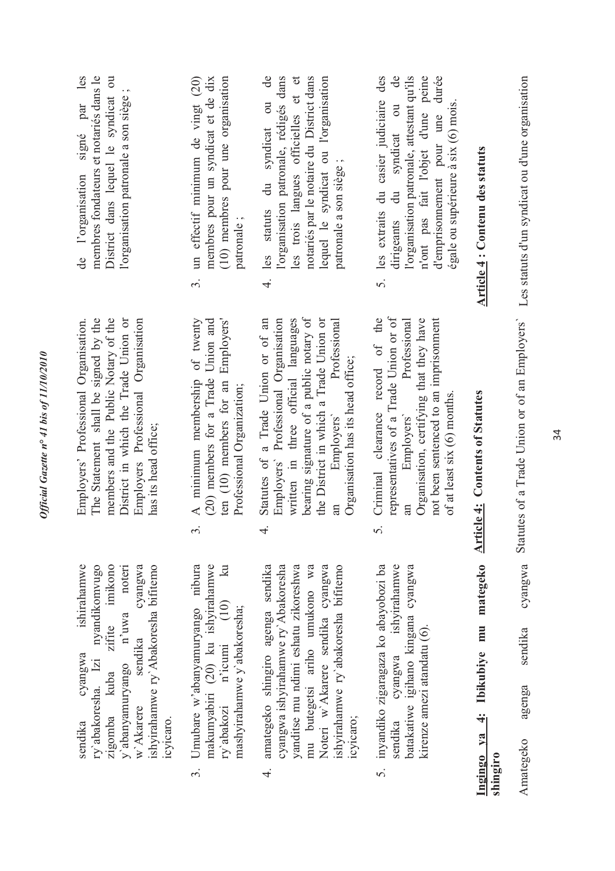| de l'organisation signé par les<br>membres fondateurs et notariés dans le<br>District dans lequel le syndicat ou<br>l'organisation patronale a son siège;                                                                       | 3. un effectif minimum de vingt (20)<br>(10) membres pour une organisation<br>membres pour un syndicat et de dix<br>patronale;                                   | 4. les statuts du syndicat ou de<br>les trois langues officielles et et<br>l'organisation patronale, rédigés dans<br>notariés par le notaire du District dans<br>lequel le syndicat ou l'organisation<br>patronale a son siège;                                                           | 5. les extraits du casier judiciaire des<br>$\mathbf{d}$ e<br>l'organisation patronale, attestant qu'ils<br>d'emprisonnement pour une durée<br>n'ont pas fait l'objet d'une peine<br>dirigeants du syndicat ou<br>$\frac{1}{2}$ |
|---------------------------------------------------------------------------------------------------------------------------------------------------------------------------------------------------------------------------------|------------------------------------------------------------------------------------------------------------------------------------------------------------------|-------------------------------------------------------------------------------------------------------------------------------------------------------------------------------------------------------------------------------------------------------------------------------------------|---------------------------------------------------------------------------------------------------------------------------------------------------------------------------------------------------------------------------------|
| members and the Public Notary of the<br>The Statement shall be signed by the<br>Employers' Professional Organisation.<br>District in which the Trade Union or<br>Employers Professional Organisation<br>has its head office;    | A minimum membership of twenty<br>(20) members for a Trade Union and<br>ten (10) members for an Employers'<br>Professional Organization;<br>$\dot{\mathfrak{g}}$ | bearing signature of a public notary of<br>the District in which a Trade Union or<br>Employers' Professional Organisation<br>written in three official languages<br>Statutes of a Trade Union or of an<br>Professional<br>Organisation has its head office;<br>Employers'<br>аn<br>$\div$ | representatives of a Trade Union or of<br>not been sentenced to an imprisonment<br>Criminal clearance record of the<br>Organisation, certifying that they have<br>Employers' Professional<br>$f_{\text{at}}$<br>S.              |
| ishirahamwe<br>w`Akarere sendika cyangwa<br>ishyirahamwe ry`Abakoresha bifitemo<br>nyandikomvugo<br>zifite imikono<br>noteri<br>y'abanyamuryango n'uwa<br>ry'abakoresha. Izi<br>cyangwa<br>zigomba kuba<br>icyicaro.<br>sendika | 3. Umubare w'abanyamuryango nibura<br>makumyabiri (20) ku ishyirahamwe<br>ry'abakozi n'icumi (10) ku<br>mashyirahamwe y'abakoresha;                              | cyangwa ishyirahamwe ry' Abakoresha<br>yanditse mu ndimi eshatu zikoreshwa<br>mu butegetsi ariho umukono wa<br>amategeko shingiro agenga sendika<br>Noteri w'Akarere sendika cyangwa<br>ishyirahamwe ry'abakoresha bifitemo<br>icyicaro;<br>ने.<br>न                                      | cyangwa ishyirahamwe<br>5. inyandiko zigaragaza ko abayobozi ba<br>batakatiwe igihano kingana cyangwa<br>kirenze amezi atandatu (6).<br>sendika                                                                                 |

Official Gazette nº 41 bis of 11/10/2010

**Ingingo ya 4: Ibikubiye mu mategeko**  Ingingo ya 4: Ibikubiye mu mategeko <u>Article 4:</u> Contents of Statutes shingiro **Article 4: Contents of Statutes** 

d'emprisonnement pour une durée égale ou supérieure à six (6) mois.

égale ou supérieure à six (6) mois.

of at least six (6) months.

of at least six (6) months.

**Article 4 : Contenu des statuts** 

Article 4 : Contenu des statuts

Les statuts d'un syndicat ou d'une organisation Statutes of a Trade Union or of an Employers' Les statuts d'un syndicat ou d'une organisation Statutes of a Trade Union or of an Employers` cyangwa Amategeko agenga sendika cyangwa sendika agenga Amategeko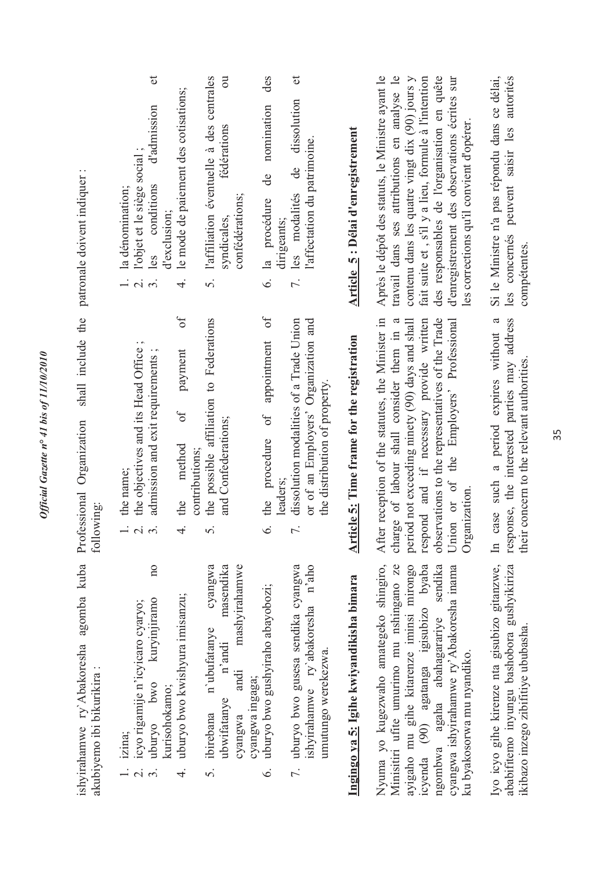| $\cdot$ .<br>patronale doivent indiquer                             | $\sigma$<br>$\overline{a}$<br>des<br>$\sigma$<br>l'affiliation éventuelle à des centrales<br>le mode de paiement des cotisations;<br>dissolution<br>nomination<br>d'admission<br>fédérations<br>l'affectation du patrimoine.<br>l'objet et le siège social;<br>de<br>$\frac{1}{\sqrt{2}}$<br>conditions<br>la dénomination;<br>les modalités<br>confédérations;<br>6. la procédure<br>d'exclusion;<br>syndicales.<br>dirigeants;<br>les<br>7.<br>$\vec{r}$<br>5.                                 | Après le dépôt des statuts, le Ministre ayant le<br>travail dans ses attributions en analyse le<br>Si le Ministre n'a pas répondu dans ce délai,<br>contenu dans les quatre vingt dix $(90)$ jours y<br>fait suite et, s'il y a lieu, formule à l'intention<br>des responsables de l'organisation en quête<br>d'enregistrement des observations écrites sur<br>les concernés peuvent saisir les autorités<br>les corrections qu'il convient d'opérer.<br>Article 5: Délai d'enregistrement<br>compétentes.          |
|---------------------------------------------------------------------|--------------------------------------------------------------------------------------------------------------------------------------------------------------------------------------------------------------------------------------------------------------------------------------------------------------------------------------------------------------------------------------------------------------------------------------------------------------------------------------------------|---------------------------------------------------------------------------------------------------------------------------------------------------------------------------------------------------------------------------------------------------------------------------------------------------------------------------------------------------------------------------------------------------------------------------------------------------------------------------------------------------------------------|
| shall include the<br>Professional Organization<br>following:        | $\sigma$ f<br>$\sigma$<br>the possible affiliation to Federations<br>dissolution modalities of a Trade Union<br>or of an Employers' Organization and<br>appointment<br>the objectives and its Head Office;<br>payment<br>admission and exit requirements;<br>the distribution of property.<br>$\sigma$ f<br>the procedure of<br>and Confederations;<br>method<br>contributions;<br>the name;<br>leaders:<br>the<br>$\overline{1}$<br>$\dot{\mathfrak{c}}$<br>$\div$<br>$\dot{\circ}$<br>$\Omega$ | After reception of the statutes, the Minister in<br>respond and if necessary provide written<br>observations to the representatives of the Trade<br>a<br>response, the interested parties may address<br>charge of labour shall consider them in a<br>period not exceeding ninety (90) days and shall<br>Union or of the Employers' Professional<br>case such a period expires without<br>Article 5: Time frame for the registration<br>their concern to the relevant authorities.<br>Organization.<br>$\mathbb{H}$ |
| ishyirahamwe ry'Abakoresha agomba kuba<br>akubiyemo ibi bikurikira: | mashyirahamwe<br>n'aho<br>$\overline{n}$<br>cyangwa<br>masendika<br>7. uburyo bwo gusesa sendika cyangwa<br>uburyo bwo gushyiraho abayobozi;<br>uburyo bwo kwishyura imisanzu;<br>kuryinjiramo<br>icyo rigamije n'icyicaro cyaryo;<br>ishyirahamwe ry'abakoresha<br>n'ubufatanye<br>n'andi<br>umutungo werekezwa.<br>andi<br>cyangwa ingaga;<br>owo<br>kurisohokamo;<br>ubwifatanye<br>ibirebana<br>cyangwa<br>uburyo<br>izina;<br>$\dot{\circ}$<br>$\vec{r}$<br>$\dot{\delta}$                  | Nyuma yo kugezwaho amategeko shingiro,<br>Minisitiri ufite umurimo mu nshingano ze<br>ababifitemo inyungu bashobora gushyikiriza<br>Iyo icyo gihe kirenze nta gisubizo gitanzwe,<br>(90) agatanga igisubizo byaba<br>cyangwa ishyirahamwe ry'Abakoresha inama<br>ayigaho mu gihe kitarenze iminsi mirongo<br>sendika<br>Ingingo ya 5: Igihe kwiyandikisha bimara<br>agaha abahagarariye<br>ikibazo inzego zibifitiye ububasha.<br>ku byakosorwa mu nyandiko.<br>ngombwa<br><b>rcyenda</b>                           |

*Official Gazette n° 41 bis of 11/10/2010* 

Official Gazette nº 41 bis of 11/10/2010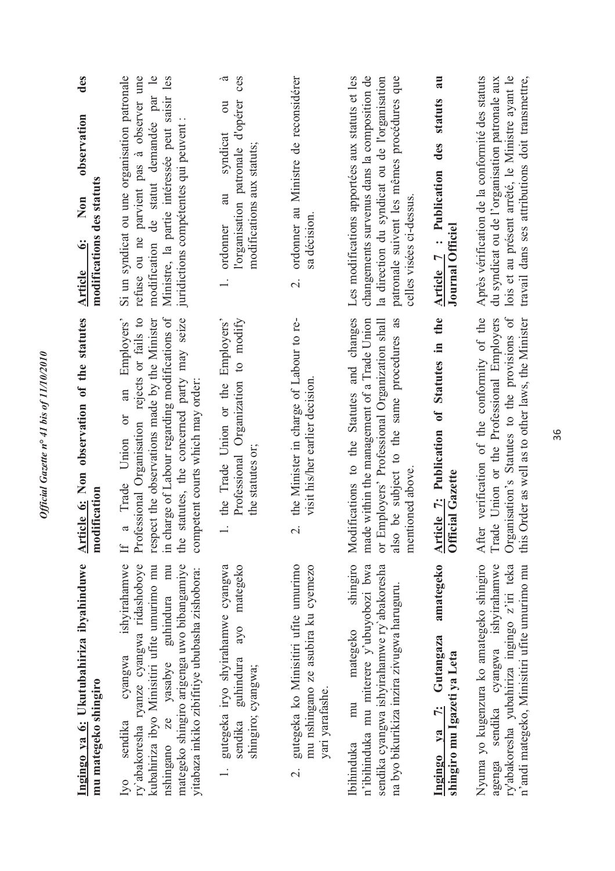| Ingingo ya 6: Ukutubahiriza ibyahinduwe<br>mu mategeko shingiro                                                                                                                                                                                                              | Article 6: Non observation of the statutes<br>modification                                                                                                                                                                                                                                    | des<br>observation<br>modifications des statuts<br>Non<br>Article 6:                                                                                                                                                         |   |
|------------------------------------------------------------------------------------------------------------------------------------------------------------------------------------------------------------------------------------------------------------------------------|-----------------------------------------------------------------------------------------------------------------------------------------------------------------------------------------------------------------------------------------------------------------------------------------------|------------------------------------------------------------------------------------------------------------------------------------------------------------------------------------------------------------------------------|---|
| cyangwa ishyirahamwe<br>ry'abakoresha ryanze cyangwa ridashoboye<br>guhindura mu<br>kubahiriza ibyo Minisitiri ufite umurimo mu<br>mategeko shingiro arigenga uwo bibangamiye<br>yitabaza inkiko zibifitiye ububasha zishobora:<br>ze yasabye<br>sendika<br>nshingano<br>lyo | charge of Labour regarding modifications of<br>statutes, the concerned party may seize<br>Professional Organisation rejects or fails to<br>an Employers'<br>respect the observations made by the Minister<br>competent courts which may order:<br>a Trade Union or<br>the<br>$\tilde{H}$<br>H | Si un syndicat ou une organisation patronale<br>modification de statut demandée par le<br>retuse ou ne parvient pas à observer une<br>Ministre, la partie intéressée peut saisir les<br>juridictions compétentes qui peuvent |   |
| sendika guhindura ayo mategeko<br>1. gutegeka iryo shyirahamwe cyangwa<br>shingiro; cyangwa;                                                                                                                                                                                 | Professional Organization to modify<br>1. the Trade Union or the Employers'<br>the statutes or;                                                                                                                                                                                               | l'organisation patronale d'opérer ces<br>$\overline{\mathrm{d}}$<br>syndicat<br>modifications aux statuts;<br>au<br>ordonner                                                                                                 | à |
| 2. gutegeka ko Minisitiri ufite umurimo<br>mu nshingano ze asubira ku cyemezo<br>yari yarafashe.                                                                                                                                                                             | the Minister in charge of Labour to re-<br>visit his/her earlier decision.<br>$\overline{c}$                                                                                                                                                                                                  | 2. ordonner au Ministre de reconsidérer<br>sa décision.                                                                                                                                                                      |   |
| n'ibihinduka mu miterere y'ubuyobozi bwa<br>sendika cyangwa ishyirahamwe ry'abakoresha<br>na byo bikurikiza inzira zivugwa haruguru.<br>mategeko<br>mu<br><b>Ibihinduka</b>                                                                                                  | shingiro Modifications to the Statutes and changes<br>also be subject to the same procedures as<br>made within the management of a Trade Union<br>Employers' Professional Organization shall<br>mentioned above.<br>ðr                                                                        | Les modifications apportées aux statuts et les<br>changements survenus dans la composition de<br>patronale suivent les mêmes procédures que<br>la direction du syndicat ou de l'organisation<br>celles visées ci-dessus.     |   |

Official Gazette nº 41 bis of 11/10/2010

### Ingingo ya 7: Gutangaza amategeko **Ingingo ya 7: Gutangaza amategeko**  shingiro mu Igazeti ya Leta **shingiro mu Igazeti ya Leta**

Nyuma yo kugenzura ko amategeko shingiro agenga sendika cyangwa ishyirahamwe ry'abakoresha yubahiriza ingingo z'iri teka n'andi mategeko, Minisitiri ufite umurimo mu Nyuma yo kugenzura ko amategeko shingiro agenga sendika cyangwa ishyirahamwe ry'abakoresha yubahiriza ingingo z'iri teka n'andi mategeko, Minisitiri ufite umurimo mu

# Article 7: Publication of Statutes in the **Article 7: Publication of Statutes in the Official Gazette Official Gazette**

mentioned above.

celles visées ci-dessus.

Trade Union or the Professional Employers this Order as well as to other laws, the Minister Organisation's Statutes to the provisions of After verification of the conformity of the Trade Union or the Professional Employers Organisation's Statutes to the provisions of this Order as well as to other laws, the Minister

**Article 7 : Publication des statuts au**  Journal Officiel **Journal Officiel**

Article 7 : Publication des statuts au

Après vérification de la conformité des statuts du syndicat ou de l'organisation patronale aux lois et au présent arrêté, le Ministre ayant le lois et au présent arrêté, le Ministre ayant le travail dans ses attributions doit transmettre, After verification of the conformity of the Après vérification de la conformité des statuts du syndicat ou de l'organisation patronale aux travail dans ses attributions doit transmettre,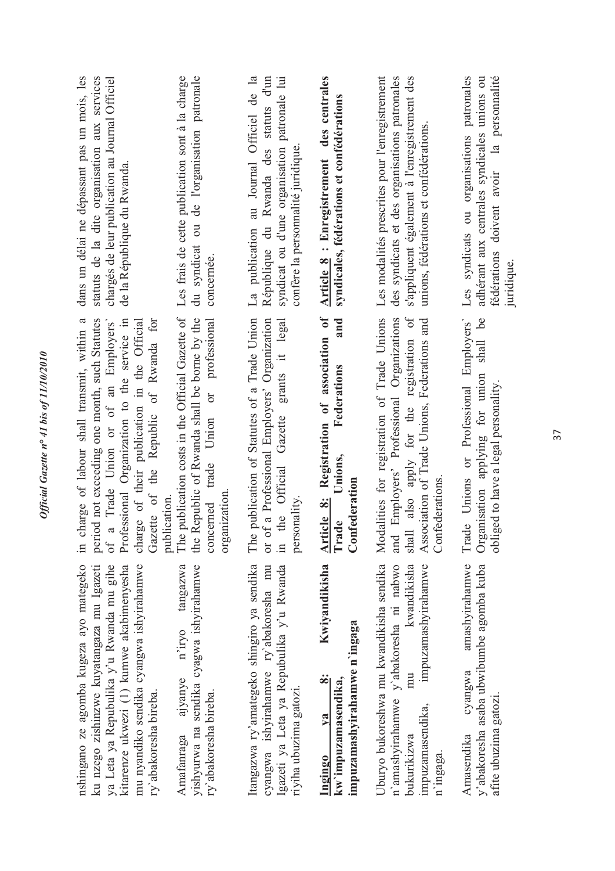| nshingano ze agomba kugeza ayo mategeko<br>kitarenze ukwezi (1) kumwe akabimenyesha<br>ku nzego zishinzwe kuyatangaza mu Igazeti<br>ya Leta ya Repubulika y'u Rwanda mu gihe<br>mu nyandiko sendika cyangwa ishyirahamwe<br>ry abakoresha bireba. | period not exceeding one month, such Statutes<br>Gazette of the Republic of Rwanda for<br>in charge of labour shall transmit, within a<br>Professional Organization to the service in<br>charge of their publication in the Official<br>Trade Union or of an Employers'<br>publication.<br>of a | dans un délai ne dépassant pas un mois, les<br>statuts de la dite organisation aux services<br>chargés de leur publication au Journal Officiel<br>de la République du Rwanda.             |
|---------------------------------------------------------------------------------------------------------------------------------------------------------------------------------------------------------------------------------------------------|-------------------------------------------------------------------------------------------------------------------------------------------------------------------------------------------------------------------------------------------------------------------------------------------------|-------------------------------------------------------------------------------------------------------------------------------------------------------------------------------------------|
| yishyurwa na sendika cyagwa ishyirahamwe<br>tangazwa<br>n'iryo<br>ajyanye<br>ry abakoresha bireba.<br>Amafanraga                                                                                                                                  | The publication costs in the Official Gazette of<br>the Republic of Rwanda shall be borne by the<br>professional<br>$\overline{C}$<br>concerned trade Union<br>organization.                                                                                                                    | Les frais de cette publication sont à la charge<br>du syndicat ou de l'organisation patronale<br>concernée.                                                                               |
| Itangazwa ry'amategeko shingiro ya sendika<br>cyangwa ishyirahamwe ry'abakoresha mu<br>Igazeti ya Leta ya Repubulika y'u Rwanda<br>riyiha ubuzima gatozi.                                                                                         | or of a Professional Employers' Organization<br>publication of Statutes of a Trade Union<br>grants it legal<br>in the Official Gazette<br>personality<br>The <sub>1</sub>                                                                                                                       | La publication au Journal Officiel de la<br>syndicat ou d'une organisation patronale lui<br>République du Rwanda des statuts d'un<br>confère la personnalité juridique                    |
| Kwiyandikisha<br>impuzamashyirahamwe n'ingaga<br>ထုံ<br>kw'impuzamasendika,<br>V2<br>Ingingo                                                                                                                                                      | Article 8: Registration of association of<br>and<br>Federations<br>Unions,<br>Confederation<br>Trade                                                                                                                                                                                            | Article 8 : Enregistrement des centrales<br>syndicales, fédérations et confédérations                                                                                                     |
| Uburyo bukoreshwa mu kwandikisha sendika<br>impuzamashyirahamwe<br>n'amashyirahamwe y'abakoresha ni nabwo<br>kwandikisha<br>mu<br>impuzamasendika,<br>bukurikizwa<br>n'ingaga.                                                                    | also apply for the registration of<br>Modalities for registration of Trade Unions<br>Employers' Professional Organizations<br>Association of Trade Unions, Federations and<br>Confederations.<br>$\ensuremath{\text{shall}}$<br>and                                                             | Les modalités prescrites pour l'enregistrement<br>des syndicats et des organisations patronales<br>s'appliquent également à l'enregistrement des<br>unions, fédérations et confédérations |
| amashyirahamwe<br>y'abakoresha asaba ubwibumbe agomba kuba<br>cyangwa<br>afite ubuzima gatozi.<br>Amasendika                                                                                                                                      | shall be<br>Unions or Professional Employers'<br>Organisation applying for union<br>obliged to have a legal personality.<br>Trade                                                                                                                                                               | Les syndicats ou organisations patronales<br>adhérant aux centrales syndicales unions ou<br>fédérations doivent avoir la personnalité<br>juridique.                                       |